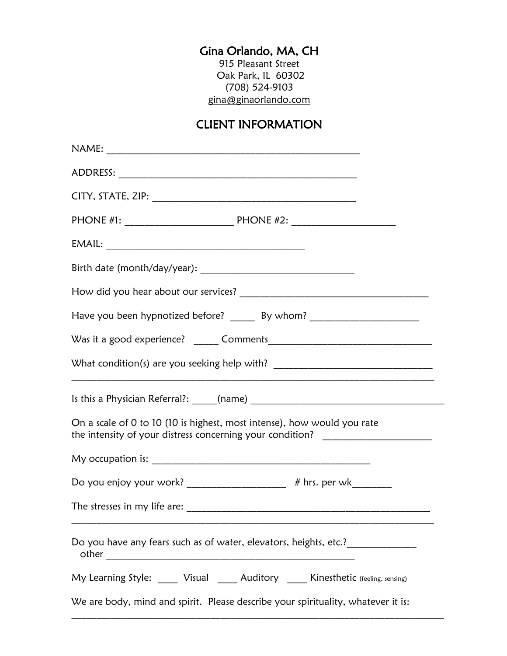## Gina Orlando, MA, CH

915 Pleasant Street Oak Park, IL 60302 (708) 524-9103 [gina@ginaorlando.com](mailto:gina@ginaorlando.com)

## CLIENT INFORMATION

| Have you been hypnotized before? _______ By whom? ______________________________                                                                            |
|-------------------------------------------------------------------------------------------------------------------------------------------------------------|
|                                                                                                                                                             |
| What condition(s) are you seeking help with? ___________________________________                                                                            |
|                                                                                                                                                             |
| On a scale of 0 to 10 (10 is highest, most intense), how would you rate<br>the intensity of your distress concerning your condition? ______________________ |
|                                                                                                                                                             |
| Do you enjoy your work? _____________________ # hrs. per wk_______                                                                                          |
|                                                                                                                                                             |
| Do you have any fears such as of water, elevators, heights, etc.?_______________                                                                            |
| My Learning Style: _____ Visual _____ Auditory _____ Kinesthetic (feeling, sensing)                                                                         |
| We are body, mind and spirit. Please describe your spirituality, whatever it is:                                                                            |